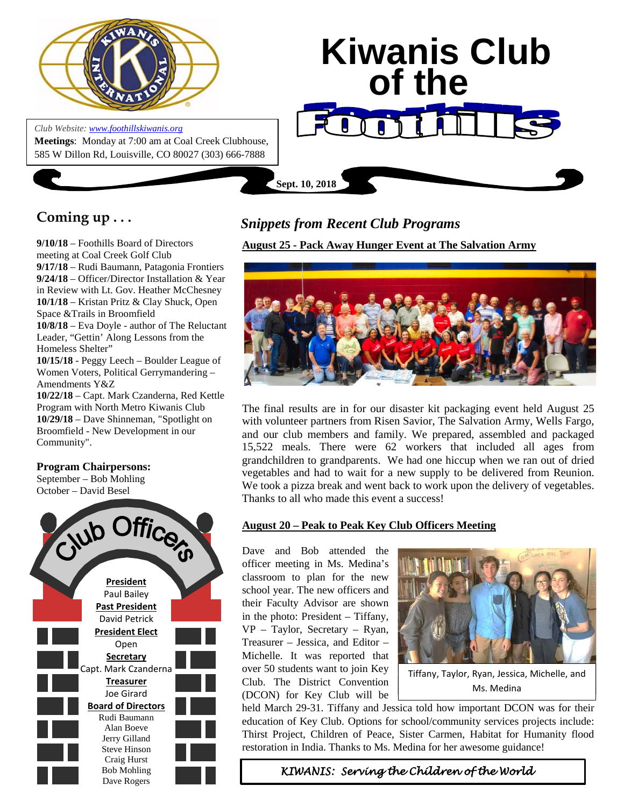

*Club Website[: www.foothillskiwanis.org](file:///C:\Users\Bob\AppData\Local\Microsoft\Windows\Temporary%20Internet%20Files\Bob\AppData\Local\Microsoft\Users\Users\Bob\AppData\Local\Microsoft\Users\Bob\AppData\Local\Microsoft\Users\Bob\AppData\Local\Microsoft\Users\Bob\AppData\Local\Microsoft\Users\Bob\AppData\Local\Microsoft\Documents%20and%20Settings\Users\Bob\AppData\Local\Microsoft\Windows\Temporary%20Internet%20Files\AppData\Local\Microsoft\Windows\Temporary%20Internet%20Files\AppData\Local\Microsoft\Documents%20and%20Settings\Kerry%20Hassler\Users\Hugh\AppData\AppData\Local\Microsoft\Documents%20and%20Settings\AppData\Local\Temp\www.foothillskiwanis.org)* **Meetings**: Monday at 7:00 am at Coal Creek Clubhouse, 585 W Dillon Rd, Louisville, CO 80027 (303) 666-7888

# **Kiwanis Club of the**

**Sept. 10, 2018**

# **Coming up . . .**

**9/10/18** – Foothills Board of Directors meeting at Coal Creek Golf Club **9/17/18** – Rudi Baumann, Patagonia Frontiers **9/24/18** – Officer/Director Installation & Year in Review with Lt. Gov. Heather McChesney **10/1/18** – Kristan Pritz & Clay Shuck, Open Space &Trails in Broomfield **10/8/18** – Eva Doyle - author of The Reluctant Leader, "Gettin' Along Lessons from the Homeless Shelter" **10/15/18** - Peggy Leech – Boulder League of Women Voters, Political Gerrymandering – Amendments Y&Z **10/22/18** – Capt. Mark Czanderna, Red Kettle

Program with North Metro Kiwanis Club **10/29/18** – Dave Shinneman, "Spotlight on Broomfield - New Development in our Community".

## **Program Chairpersons:**

September – Bob Mohling October – David Besel



# *Snippets from Recent Club Programs*

**August 25 - Pack Away Hunger Event at The Salvation Army**



The final results are in for our disaster kit packaging event held August 25 with volunteer partners from Risen Savior, The Salvation Army, Wells Fargo, and our club members and family. We prepared, assembled and packaged 15,522 meals. There were 62 workers that included all ages from grandchildren to grandparents. We had one hiccup when we ran out of dried vegetables and had to wait for a new supply to be delivered from Reunion. We took a pizza break and went back to work upon the delivery of vegetables. Thanks to all who made this event a success!

## **August 20 – Peak to Peak Key Club Officers Meeting**

Dave and Bob attended the officer meeting in Ms. Medina's classroom to plan for the new school year. The new officers and their Faculty Advisor are shown in the photo: President – Tiffany, VP – Taylor, Secretary – Ryan, Treasurer – Jessica, and Editor – Michelle. It was reported that over 50 students want to join Key Club. The District Convention (DCON) for Key Club will be



Tiffany, Taylor, Ryan, Jessica, Michelle, and Ms. Medina

held March 29-31. Tiffany and Jessica told how important DCON was for their education of Key Club. Options for school/community services projects include: Thirst Project, Children of Peace, Sister Carmen, Habitat for Humanity flood restoration in India. Thanks to Ms. Medina for her awesome guidance!

*KIWANIS: Serving the Children of the World*